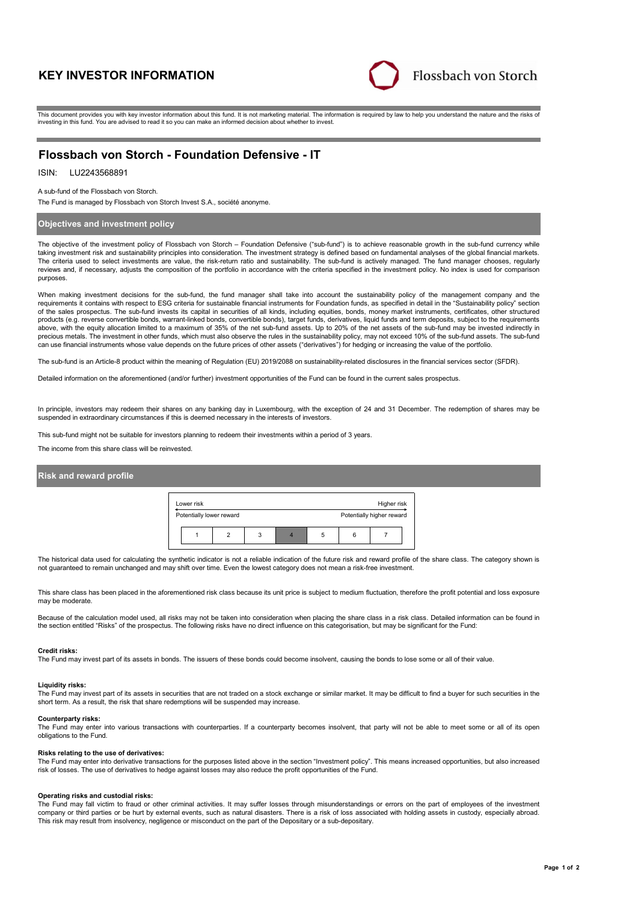# **KEY INVESTOR INFORMATION**



This document provides you with key investor information about this fund. It is not marketing material. The information is required by law to help you understand the nature and the risks of investing in this fund. You are advised to read it so you can make an informed decision about whether to invest.

# **Flossbach von Storch - Foundation Defensive - IT**

# ISIN: LU2243568891

A sub-fund of the Flossbach von Storch.

The Fund is managed by Flossbach von Storch Invest S.A., société anonyme.

## **Objectives and investment policy**

The objective of the investment policy of Flossbach von Storch – Foundation Defensive ("sub-fund") is to achieve reasonable growth in the sub-fund currency while taking investment risk and sustainability principles into consideration. The investment strategy is defined based on fundamental analyses of the global financial markets. The criteria used to select investments are value, the risk-return ratio and sustainability. The sub-fund is actively managed. The fund manager chooses, regularly reviews and, if necessary, adjusts the composition of the portfolio in accordance with the criteria specified in the investment policy. No index is used for comparison purposes.

When making investment decisions for the sub-fund, the fund manager shall take into account the sustainability policy of the management company and the requirements it contains with respect to ESG criteria for sustainable financial instruments for Foundation funds, as specified in detail in the "Sustainability policy" section of the sales prospectus. The sub-fund invests its capital in securities of all kinds, including equities, bonds, money market instruments, certificates, other structured products (e.g. reverse convertible bonds, warrant-linked bonds, convertible bonds), target funds, derivatives, liquid funds and term deposits, subject to the requirements above, with the equity allocation limited to a maximum of 35% of the net sub-fund assets. Up to 20% of the net assets of the sub-fund may be invested indirectly in precious metals. The investment in other funds, which must also observe the rules in the sustainability policy, may not exceed 10% of the sub-fund assets. The sub-fund can use financial instruments whose value depends on the future prices of other assets ("derivatives") for hedging or increasing the value of the portfolio.

The sub-fund is an Article-8 product within the meaning of Regulation (EU) 2019/2088 on sustainability-related disclosures in the financial services sector (SFDR).

Detailed information on the aforementioned (and/or further) investment opportunities of the Fund can be found in the current sales prospectus.

In principle, investors may redeem their shares on any banking day in Luxembourg, with the exception of 24 and 31 December. The redemption of shares may be suspended in extraordinary circumstances if this is deemed necessary in the interests of investors.

This sub-fund might not be suitable for investors planning to redeem their investments within a period of 3 years.

The income from this share class will be reinvested.

## **Risk and reward profile**

| Lower risk               |   |   | Higher risk               |
|--------------------------|---|---|---------------------------|
| Potentially lower reward |   |   | Potentially higher reward |
|                          | 3 | 5 |                           |

The historical data used for calculating the synthetic indicator is not a reliable indication of the future risk and reward profile of the share class. The category shown is not guaranteed to remain unchanged and may shift over time. Even the lowest category does not mean a risk-free investment.

This share class has been placed in the aforementioned risk class because its unit price is subject to medium fluctuation, therefore the profit potential and loss exposure may be moderate

Because of the calculation model used, all risks may not be taken into consideration when placing the share class in a risk class. Detailed information can be found in the section entitled "Risks" of the prospectus. The following risks have no direct influence on this categorisation, but may be significant for the Fund:

#### **Credit risks:**

The Fund may invest part of its assets in bonds. The issuers of these bonds could become insolvent, causing the bonds to lose some or all of their value.

#### **Liquidity risks:**

The Fund may invest part of its assets in securities that are not traded on a stock exchange or similar market. It may be difficult to find a buyer for such securities in the short term. As a result, the risk that share redemptions will be suspended may increase.

#### **Counterparty risks:**

The Fund may enter into various transactions with counterparties. If a counterparty becomes insolvent, that party will not be able to meet some or all of its open obligations to the Fund.

#### **Risks relating to the use of derivatives:**

The Fund may enter into derivative transactions for the purposes listed above in the section "Investment policy". This means increased opportunities, but also increased risk of losses. The use of derivatives to hedge against losses may also reduce the profit opportunities of the Fund.

#### **Operating risks and custodial risks:**

The Fund may fall victim to fraud or other criminal activities. It may suffer losses through misunderstandings or errors on the part of employees of the investment company or third parties or be hurt by external events, such as natural disasters. There is a risk of loss associated with holding assets in custody, especially abroad. This risk may result from insolvency, negligence or misconduct on the part of the Depositary or a sub-depositary.